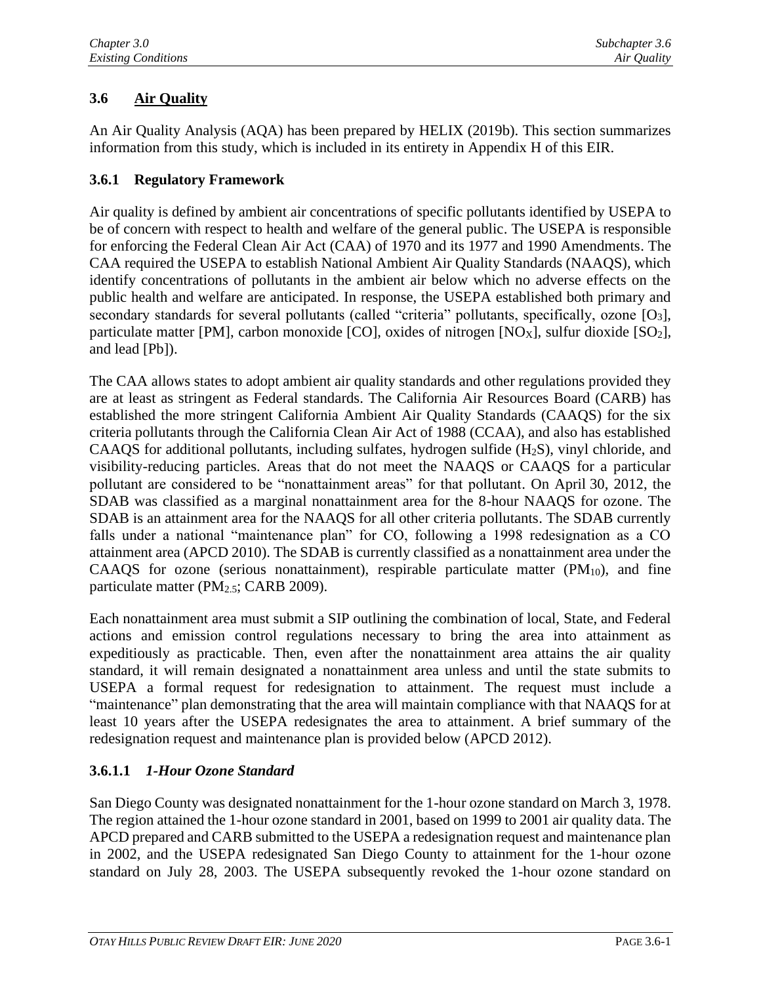# **3.6 Air Quality**

An Air Quality Analysis (AQA) has been prepared by HELIX (2019b). This section summarizes information from this study, which is included in its entirety in Appendix H of this EIR.

## **3.6.1 Regulatory Framework**

Air quality is defined by ambient air concentrations of specific pollutants identified by USEPA to be of concern with respect to health and welfare of the general public. The USEPA is responsible for enforcing the Federal Clean Air Act (CAA) of 1970 and its 1977 and 1990 Amendments. The CAA required the USEPA to establish National Ambient Air Quality Standards (NAAQS), which identify concentrations of pollutants in the ambient air below which no adverse effects on the public health and welfare are anticipated. In response, the USEPA established both primary and secondary standards for several pollutants (called "criteria" pollutants, specifically, ozone [O<sub>3</sub>], particulate matter [PM], carbon monoxide [CO], oxides of nitrogen [NO<sub>X</sub>], sulfur dioxide [SO<sub>2</sub>], and lead [Pb]).

The CAA allows states to adopt ambient air quality standards and other regulations provided they are at least as stringent as Federal standards. The California Air Resources Board (CARB) has established the more stringent California Ambient Air Quality Standards (CAAQS) for the six criteria pollutants through the California Clean Air Act of 1988 (CCAA), and also has established CAAQS for additional pollutants, including sulfates, hydrogen sulfide  $(H_2S)$ , vinyl chloride, and visibility-reducing particles. Areas that do not meet the NAAQS or CAAQS for a particular pollutant are considered to be "nonattainment areas" for that pollutant. On April 30, 2012, the SDAB was classified as a marginal nonattainment area for the 8-hour NAAQS for ozone. The SDAB is an attainment area for the NAAQS for all other criteria pollutants. The SDAB currently falls under a national "maintenance plan" for CO, following a 1998 redesignation as a CO attainment area (APCD 2010). The SDAB is currently classified as a nonattainment area under the CAAQS for ozone (serious nonattainment), respirable particulate matter  $(PM_{10})$ , and fine particulate matter (PM<sub>2.5</sub>; CARB 2009).

Each nonattainment area must submit a SIP outlining the combination of local, State, and Federal actions and emission control regulations necessary to bring the area into attainment as expeditiously as practicable. Then, even after the nonattainment area attains the air quality standard, it will remain designated a nonattainment area unless and until the state submits to USEPA a formal request for redesignation to attainment. The request must include a "maintenance" plan demonstrating that the area will maintain compliance with that NAAQS for at least 10 years after the USEPA redesignates the area to attainment. A brief summary of the redesignation request and maintenance plan is provided below (APCD 2012).

## **3.6.1.1** *1-Hour Ozone Standard*

San Diego County was designated nonattainment for the 1-hour ozone standard on March 3, 1978. The region attained the 1-hour ozone standard in 2001, based on 1999 to 2001 air quality data. The APCD prepared and CARB submitted to the USEPA a redesignation request and maintenance plan in 2002, and the USEPA redesignated San Diego County to attainment for the 1-hour ozone standard on July 28, 2003. The USEPA subsequently revoked the 1-hour ozone standard on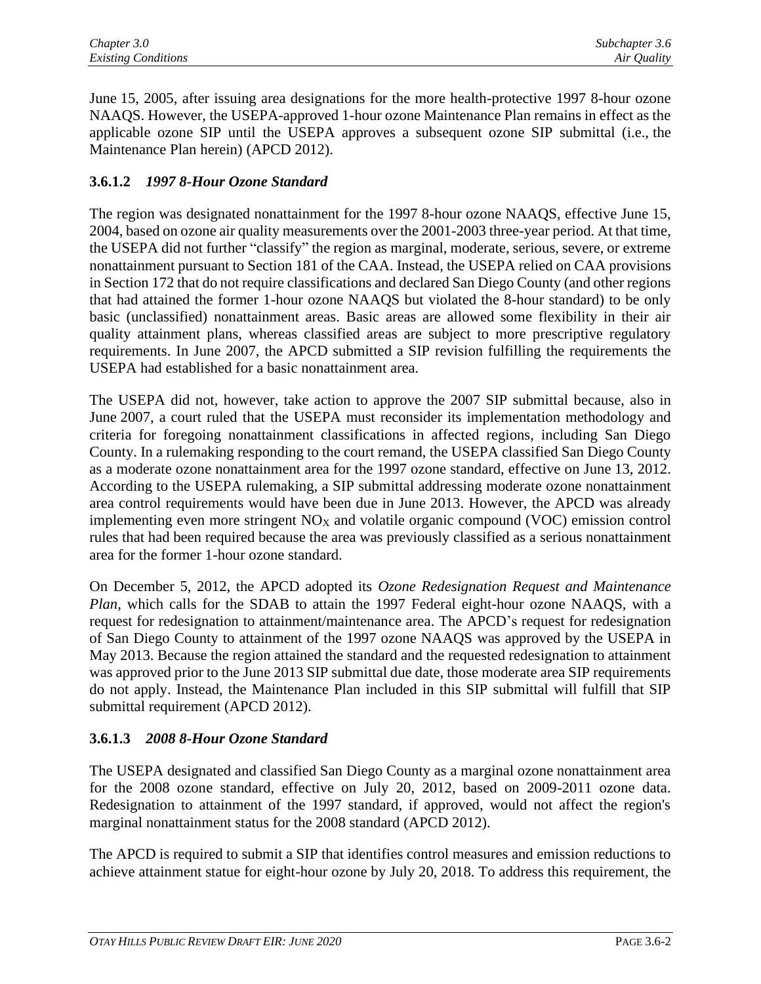June 15, 2005, after issuing area designations for the more health-protective 1997 8-hour ozone NAAQS. However, the USEPA-approved 1-hour ozone Maintenance Plan remains in effect as the applicable ozone SIP until the USEPA approves a subsequent ozone SIP submittal (i.e., the Maintenance Plan herein) (APCD 2012).

## **3.6.1.2** *1997 8-Hour Ozone Standard*

The region was designated nonattainment for the 1997 8-hour ozone NAAQS, effective June 15, 2004, based on ozone air quality measurements over the 2001-2003 three-year period. At that time, the USEPA did not further "classify" the region as marginal, moderate, serious, severe, or extreme nonattainment pursuant to Section 181 of the CAA. Instead, the USEPA relied on CAA provisions in Section 172 that do not require classifications and declared San Diego County (and other regions that had attained the former 1-hour ozone NAAQS but violated the 8-hour standard) to be only basic (unclassified) nonattainment areas. Basic areas are allowed some flexibility in their air quality attainment plans, whereas classified areas are subject to more prescriptive regulatory requirements. In June 2007, the APCD submitted a SIP revision fulfilling the requirements the USEPA had established for a basic nonattainment area.

The USEPA did not, however, take action to approve the 2007 SIP submittal because, also in June 2007, a court ruled that the USEPA must reconsider its implementation methodology and criteria for foregoing nonattainment classifications in affected regions, including San Diego County. In a rulemaking responding to the court remand, the USEPA classified San Diego County as a moderate ozone nonattainment area for the 1997 ozone standard, effective on June 13, 2012. According to the USEPA rulemaking, a SIP submittal addressing moderate ozone nonattainment area control requirements would have been due in June 2013. However, the APCD was already implementing even more stringent  $NO<sub>X</sub>$  and volatile organic compound (VOC) emission control rules that had been required because the area was previously classified as a serious nonattainment area for the former 1-hour ozone standard.

On December 5, 2012, the APCD adopted its *Ozone Redesignation Request and Maintenance Plan*, which calls for the SDAB to attain the 1997 Federal eight-hour ozone NAAQS, with a request for redesignation to attainment/maintenance area. The APCD's request for redesignation of San Diego County to attainment of the 1997 ozone NAAQS was approved by the USEPA in May 2013. Because the region attained the standard and the requested redesignation to attainment was approved prior to the June 2013 SIP submittal due date, those moderate area SIP requirements do not apply. Instead, the Maintenance Plan included in this SIP submittal will fulfill that SIP submittal requirement (APCD 2012).

## **3.6.1.3** *2008 8-Hour Ozone Standard*

The USEPA designated and classified San Diego County as a marginal ozone nonattainment area for the 2008 ozone standard, effective on July 20, 2012, based on 2009-2011 ozone data. Redesignation to attainment of the 1997 standard, if approved, would not affect the region's marginal nonattainment status for the 2008 standard (APCD 2012).

The APCD is required to submit a SIP that identifies control measures and emission reductions to achieve attainment statue for eight-hour ozone by July 20, 2018. To address this requirement, the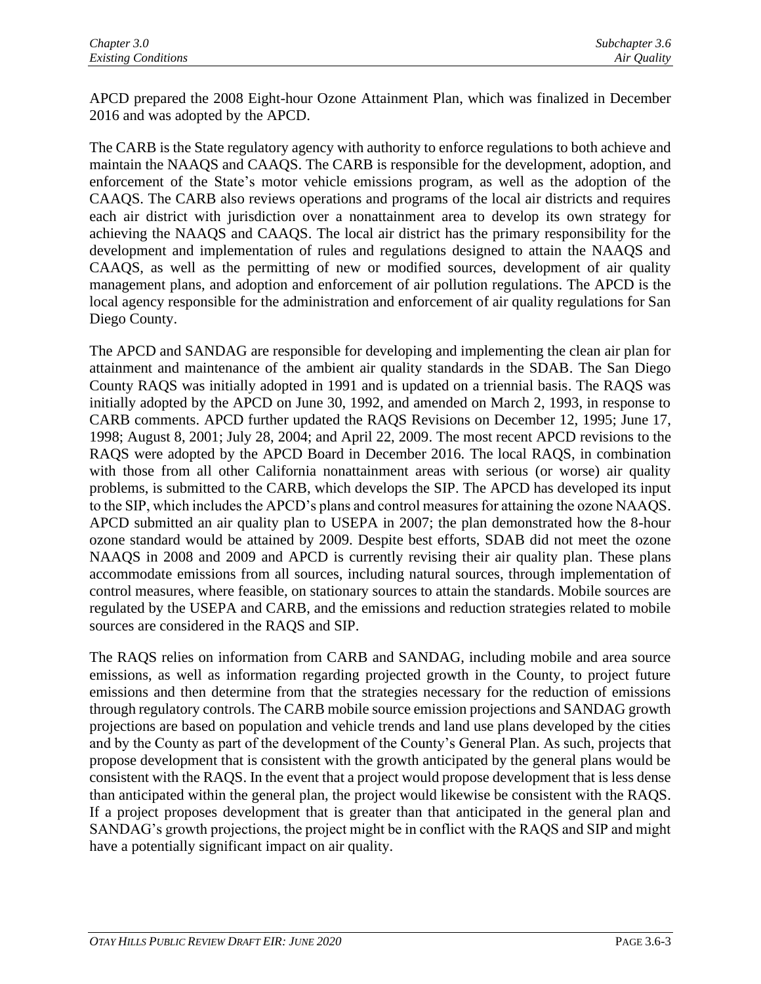APCD prepared the 2008 Eight-hour Ozone Attainment Plan, which was finalized in December 2016 and was adopted by the APCD.

The CARB is the State regulatory agency with authority to enforce regulations to both achieve and maintain the NAAQS and CAAQS. The CARB is responsible for the development, adoption, and enforcement of the State's motor vehicle emissions program, as well as the adoption of the CAAQS. The CARB also reviews operations and programs of the local air districts and requires each air district with jurisdiction over a nonattainment area to develop its own strategy for achieving the NAAQS and CAAQS. The local air district has the primary responsibility for the development and implementation of rules and regulations designed to attain the NAAQS and CAAQS, as well as the permitting of new or modified sources, development of air quality management plans, and adoption and enforcement of air pollution regulations. The APCD is the local agency responsible for the administration and enforcement of air quality regulations for San Diego County.

The APCD and SANDAG are responsible for developing and implementing the clean air plan for attainment and maintenance of the ambient air quality standards in the SDAB. The San Diego County RAQS was initially adopted in 1991 and is updated on a triennial basis. The RAQS was initially adopted by the APCD on June 30, 1992, and amended on March 2, 1993, in response to CARB comments. APCD further updated the RAQS Revisions on December 12, 1995; June 17, 1998; August 8, 2001; July 28, 2004; and April 22, 2009. The most recent APCD revisions to the RAQS were adopted by the APCD Board in December 2016. The local RAQS, in combination with those from all other California nonattainment areas with serious (or worse) air quality problems, is submitted to the CARB, which develops the SIP. The APCD has developed its input to the SIP, which includes the APCD's plans and control measures for attaining the ozone NAAQS. APCD submitted an air quality plan to USEPA in 2007; the plan demonstrated how the 8-hour ozone standard would be attained by 2009. Despite best efforts, SDAB did not meet the ozone NAAQS in 2008 and 2009 and APCD is currently revising their air quality plan. These plans accommodate emissions from all sources, including natural sources, through implementation of control measures, where feasible, on stationary sources to attain the standards. Mobile sources are regulated by the USEPA and CARB, and the emissions and reduction strategies related to mobile sources are considered in the RAQS and SIP.

The RAQS relies on information from CARB and SANDAG, including mobile and area source emissions, as well as information regarding projected growth in the County, to project future emissions and then determine from that the strategies necessary for the reduction of emissions through regulatory controls. The CARB mobile source emission projections and SANDAG growth projections are based on population and vehicle trends and land use plans developed by the cities and by the County as part of the development of the County's General Plan. As such, projects that propose development that is consistent with the growth anticipated by the general plans would be consistent with the RAQS. In the event that a project would propose development that is less dense than anticipated within the general plan, the project would likewise be consistent with the RAQS. If a project proposes development that is greater than that anticipated in the general plan and SANDAG's growth projections, the project might be in conflict with the RAQS and SIP and might have a potentially significant impact on air quality.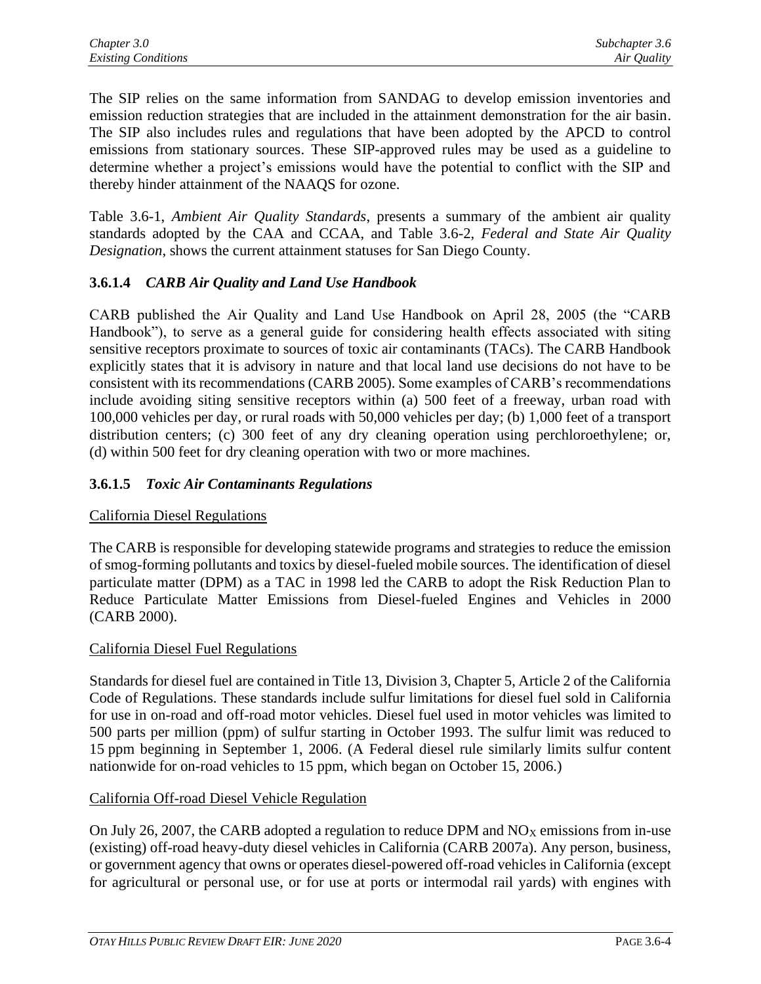The SIP relies on the same information from SANDAG to develop emission inventories and emission reduction strategies that are included in the attainment demonstration for the air basin. The SIP also includes rules and regulations that have been adopted by the APCD to control emissions from stationary sources. These SIP-approved rules may be used as a guideline to determine whether a project's emissions would have the potential to conflict with the SIP and thereby hinder attainment of the NAAQS for ozone.

Table 3.6-1, *Ambient Air Quality Standards*, presents a summary of the ambient air quality standards adopted by the CAA and CCAA, and Table 3.6-2, *Federal and State Air Quality Designation*, shows the current attainment statuses for San Diego County.

# **3.6.1.4** *CARB Air Quality and Land Use Handbook*

CARB published the Air Quality and Land Use Handbook on April 28, 2005 (the "CARB Handbook"), to serve as a general guide for considering health effects associated with siting sensitive receptors proximate to sources of toxic air contaminants (TACs). The CARB Handbook explicitly states that it is advisory in nature and that local land use decisions do not have to be consistent with its recommendations (CARB 2005). Some examples of CARB's recommendations include avoiding siting sensitive receptors within (a) 500 feet of a freeway, urban road with 100,000 vehicles per day, or rural roads with 50,000 vehicles per day; (b) 1,000 feet of a transport distribution centers; (c) 300 feet of any dry cleaning operation using perchloroethylene; or, (d) within 500 feet for dry cleaning operation with two or more machines.

## **3.6.1.5** *Toxic Air Contaminants Regulations*

## California Diesel Regulations

The CARB is responsible for developing statewide programs and strategies to reduce the emission of smog-forming pollutants and toxics by diesel-fueled mobile sources. The identification of diesel particulate matter (DPM) as a TAC in 1998 led the CARB to adopt the Risk Reduction Plan to Reduce Particulate Matter Emissions from Diesel-fueled Engines and Vehicles in 2000 (CARB 2000).

## California Diesel Fuel Regulations

Standards for diesel fuel are contained in Title 13, Division 3, Chapter 5, Article 2 of the California Code of Regulations. These standards include sulfur limitations for diesel fuel sold in California for use in on-road and off-road motor vehicles. Diesel fuel used in motor vehicles was limited to 500 parts per million (ppm) of sulfur starting in October 1993. The sulfur limit was reduced to 15 ppm beginning in September 1, 2006. (A Federal diesel rule similarly limits sulfur content nationwide for on-road vehicles to 15 ppm, which began on October 15, 2006.)

## California Off-road Diesel Vehicle Regulation

On July 26, 2007, the CARB adopted a regulation to reduce DPM and  $NO<sub>X</sub>$  emissions from in-use (existing) off-road heavy-duty diesel vehicles in California (CARB 2007a). Any person, business, or government agency that owns or operates diesel-powered off-road vehicles in California (except for agricultural or personal use, or for use at ports or intermodal rail yards) with engines with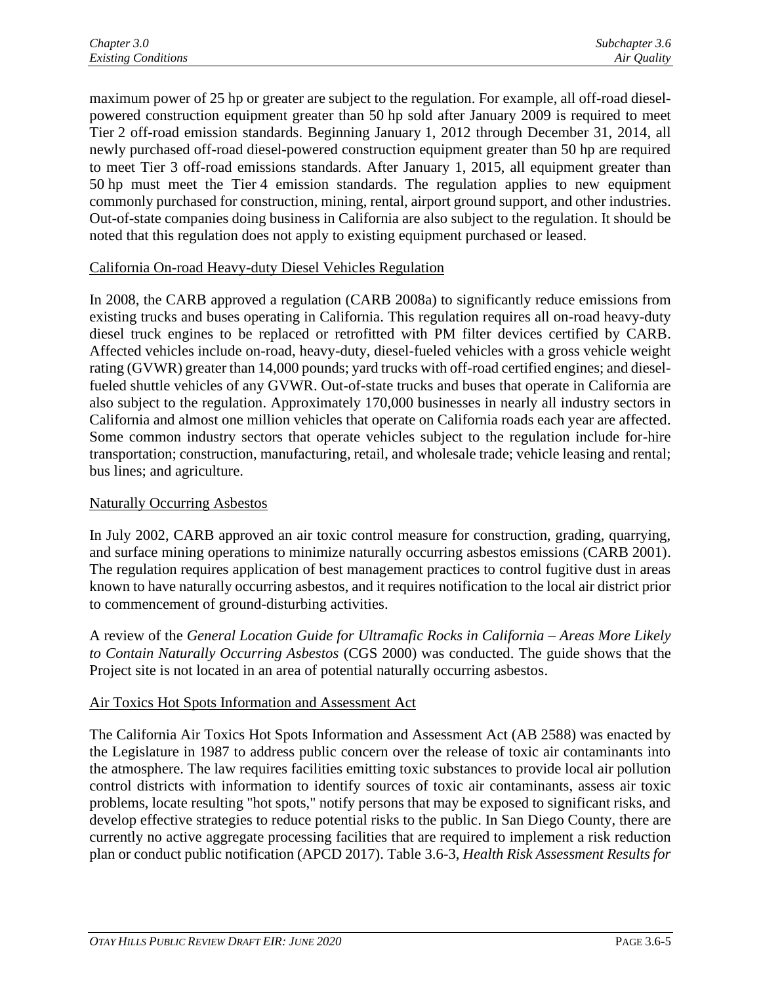maximum power of 25 hp or greater are subject to the regulation. For example, all off-road dieselpowered construction equipment greater than 50 hp sold after January 2009 is required to meet Tier 2 off-road emission standards. Beginning January 1, 2012 through December 31, 2014, all newly purchased off-road diesel-powered construction equipment greater than 50 hp are required to meet Tier 3 off-road emissions standards. After January 1, 2015, all equipment greater than 50 hp must meet the Tier 4 emission standards. The regulation applies to new equipment commonly purchased for construction, mining, rental, airport ground support, and other industries. Out-of-state companies doing business in California are also subject to the regulation. It should be noted that this regulation does not apply to existing equipment purchased or leased.

## California On-road Heavy-duty Diesel Vehicles Regulation

In 2008, the CARB approved a regulation (CARB 2008a) to significantly reduce emissions from existing trucks and buses operating in California. This regulation requires all on-road heavy-duty diesel truck engines to be replaced or retrofitted with PM filter devices certified by CARB. Affected vehicles include on-road, heavy-duty, diesel-fueled vehicles with a gross vehicle weight rating (GVWR) greater than 14,000 pounds; yard trucks with off-road certified engines; and dieselfueled shuttle vehicles of any GVWR. Out-of-state trucks and buses that operate in California are also subject to the regulation. Approximately 170,000 businesses in nearly all industry sectors in California and almost one million vehicles that operate on California roads each year are affected. Some common industry sectors that operate vehicles subject to the regulation include for-hire transportation; construction, manufacturing, retail, and wholesale trade; vehicle leasing and rental; bus lines; and agriculture.

## Naturally Occurring Asbestos

In July 2002, CARB approved an air toxic control measure for construction, grading, quarrying, and surface mining operations to minimize naturally occurring asbestos emissions (CARB 2001). The regulation requires application of best management practices to control fugitive dust in areas known to have naturally occurring asbestos, and it requires notification to the local air district prior to commencement of ground-disturbing activities.

A review of the *General Location Guide for Ultramafic Rocks in California – Areas More Likely to Contain Naturally Occurring Asbestos* (CGS 2000) was conducted. The guide shows that the Project site is not located in an area of potential naturally occurring asbestos.

## Air Toxics Hot Spots Information and Assessment Act

The California Air Toxics Hot Spots Information and Assessment Act (AB 2588) was enacted by the Legislature in 1987 to address public concern over the release of toxic air contaminants into the atmosphere. The law requires facilities emitting toxic substances to provide local air pollution control districts with information to identify sources of toxic air contaminants, assess air toxic problems, locate resulting "hot spots," notify persons that may be exposed to significant risks, and develop effective strategies to reduce potential risks to the public. In San Diego County, there are currently no active aggregate processing facilities that are required to implement a risk reduction plan or conduct public notification (APCD 2017). Table 3.6-3, *Health Risk Assessment Results for*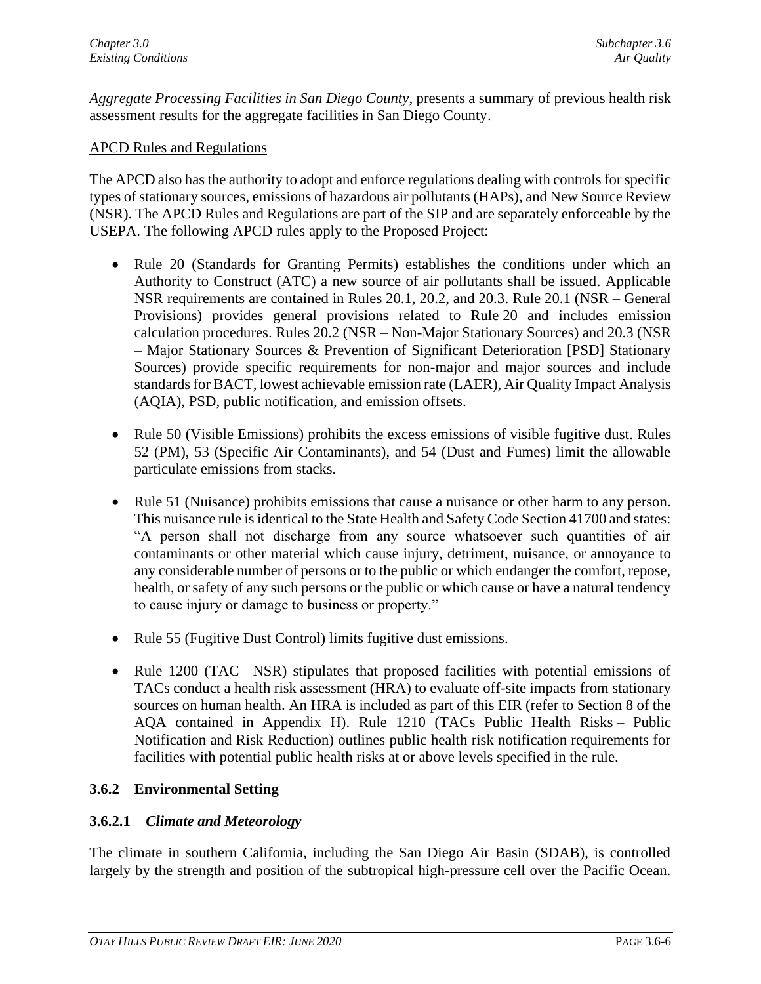*Aggregate Processing Facilities in San Diego County*, presents a summary of previous health risk assessment results for the aggregate facilities in San Diego County.

## APCD Rules and Regulations

The APCD also has the authority to adopt and enforce regulations dealing with controls for specific types of stationary sources, emissions of hazardous air pollutants (HAPs), and New Source Review (NSR). The APCD Rules and Regulations are part of the SIP and are separately enforceable by the USEPA. The following APCD rules apply to the Proposed Project:

- Rule 20 (Standards for Granting Permits) establishes the conditions under which an Authority to Construct (ATC) a new source of air pollutants shall be issued. Applicable NSR requirements are contained in Rules 20.1, 20.2, and 20.3. Rule 20.1 (NSR – General Provisions) provides general provisions related to Rule 20 and includes emission calculation procedures. Rules 20.2 (NSR – Non-Major Stationary Sources) and 20.3 (NSR – Major Stationary Sources & Prevention of Significant Deterioration [PSD] Stationary Sources) provide specific requirements for non-major and major sources and include standards for BACT, lowest achievable emission rate (LAER), Air Quality Impact Analysis (AQIA), PSD, public notification, and emission offsets.
- Rule 50 (Visible Emissions) prohibits the excess emissions of visible fugitive dust. Rules 52 (PM), 53 (Specific Air Contaminants), and 54 (Dust and Fumes) limit the allowable particulate emissions from stacks.
- Rule 51 (Nuisance) prohibits emissions that cause a nuisance or other harm to any person. This nuisance rule is identical to the State Health and Safety Code Section 41700 and states: "A person shall not discharge from any source whatsoever such quantities of air contaminants or other material which cause injury, detriment, nuisance, or annoyance to any considerable number of persons or to the public or which endanger the comfort, repose, health, or safety of any such persons or the public or which cause or have a natural tendency to cause injury or damage to business or property."
- Rule 55 (Fugitive Dust Control) limits fugitive dust emissions.
- Rule 1200 (TAC –NSR) stipulates that proposed facilities with potential emissions of TACs conduct a health risk assessment (HRA) to evaluate off-site impacts from stationary sources on human health. An HRA is included as part of this EIR (refer to Section 8 of the AQA contained in Appendix H). Rule 1210 (TACs Public Health Risks – Public Notification and Risk Reduction) outlines public health risk notification requirements for facilities with potential public health risks at or above levels specified in the rule.

## **3.6.2 Environmental Setting**

## **3.6.2.1** *Climate and Meteorology*

The climate in southern California, including the San Diego Air Basin (SDAB), is controlled largely by the strength and position of the subtropical high-pressure cell over the Pacific Ocean.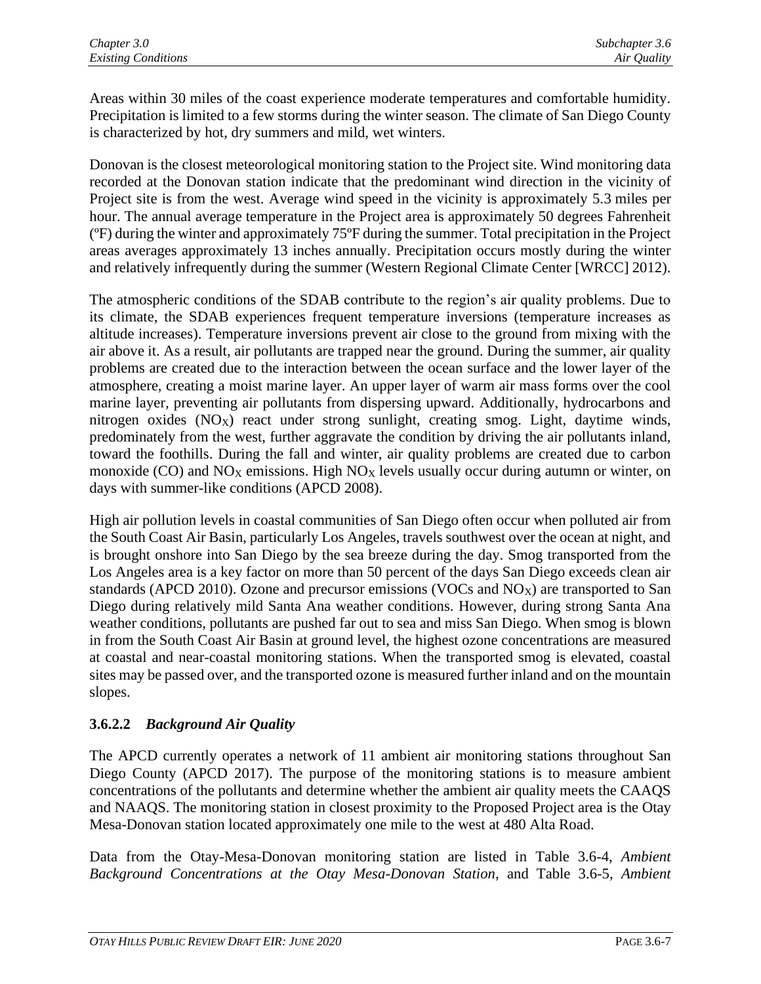Areas within 30 miles of the coast experience moderate temperatures and comfortable humidity. Precipitation is limited to a few storms during the winter season. The climate of San Diego County is characterized by hot, dry summers and mild, wet winters.

Donovan is the closest meteorological monitoring station to the Project site. Wind monitoring data recorded at the Donovan station indicate that the predominant wind direction in the vicinity of Project site is from the west. Average wind speed in the vicinity is approximately 5.3 miles per hour. The annual average temperature in the Project area is approximately 50 degrees Fahrenheit (ºF) during the winter and approximately 75ºF during the summer. Total precipitation in the Project areas averages approximately 13 inches annually. Precipitation occurs mostly during the winter and relatively infrequently during the summer (Western Regional Climate Center [WRCC] 2012).

The atmospheric conditions of the SDAB contribute to the region's air quality problems. Due to its climate, the SDAB experiences frequent temperature inversions (temperature increases as altitude increases). Temperature inversions prevent air close to the ground from mixing with the air above it. As a result, air pollutants are trapped near the ground. During the summer, air quality problems are created due to the interaction between the ocean surface and the lower layer of the atmosphere, creating a moist marine layer. An upper layer of warm air mass forms over the cool marine layer, preventing air pollutants from dispersing upward. Additionally, hydrocarbons and nitrogen oxides  $(NO_X)$  react under strong sunlight, creating smog. Light, daytime winds, predominately from the west, further aggravate the condition by driving the air pollutants inland, toward the foothills. During the fall and winter, air quality problems are created due to carbon monoxide (CO) and  $NO<sub>X</sub>$  emissions. High  $NO<sub>X</sub>$  levels usually occur during autumn or winter, on days with summer-like conditions (APCD 2008).

High air pollution levels in coastal communities of San Diego often occur when polluted air from the South Coast Air Basin, particularly Los Angeles, travels southwest over the ocean at night, and is brought onshore into San Diego by the sea breeze during the day. Smog transported from the Los Angeles area is a key factor on more than 50 percent of the days San Diego exceeds clean air standards (APCD 2010). Ozone and precursor emissions (VOCs and NO<sub>X</sub>) are transported to San Diego during relatively mild Santa Ana weather conditions. However, during strong Santa Ana weather conditions, pollutants are pushed far out to sea and miss San Diego. When smog is blown in from the South Coast Air Basin at ground level, the highest ozone concentrations are measured at coastal and near-coastal monitoring stations. When the transported smog is elevated, coastal sites may be passed over, and the transported ozone is measured further inland and on the mountain slopes.

## **3.6.2.2** *Background Air Quality*

The APCD currently operates a network of 11 ambient air monitoring stations throughout San Diego County (APCD 2017). The purpose of the monitoring stations is to measure ambient concentrations of the pollutants and determine whether the ambient air quality meets the CAAQS and NAAQS. The monitoring station in closest proximity to the Proposed Project area is the Otay Mesa-Donovan station located approximately one mile to the west at 480 Alta Road.

Data from the Otay-Mesa-Donovan monitoring station are listed in Table 3.6-4, *Ambient Background Concentrations at the Otay Mesa-Donovan Station*, and Table 3.6-5, *Ambient*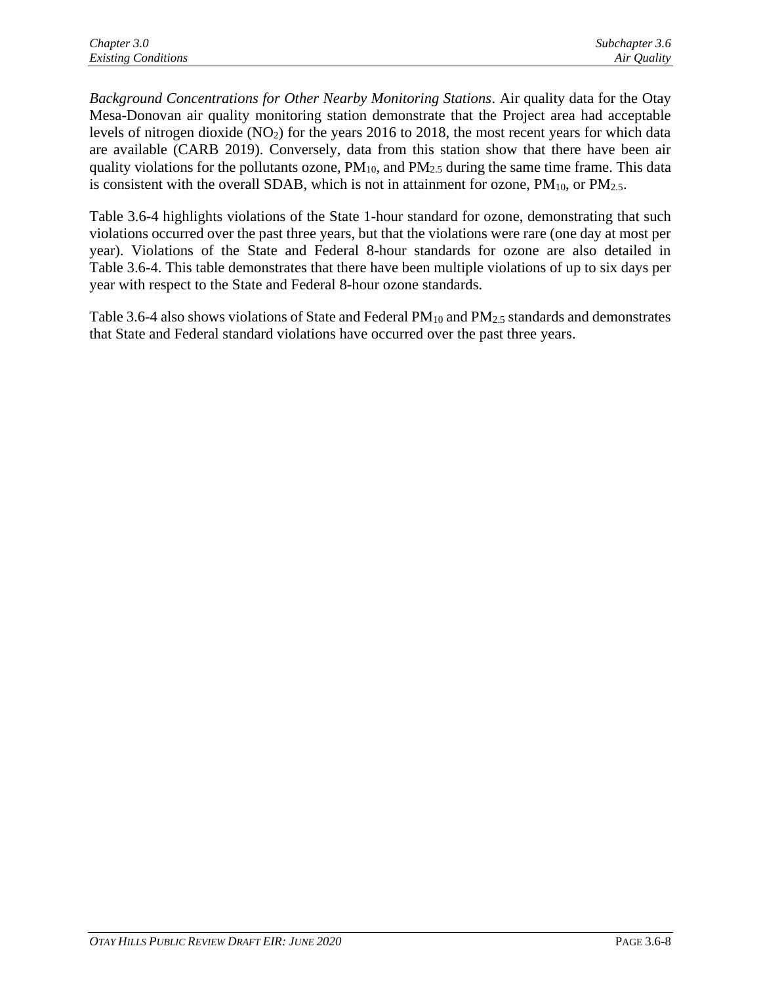*Background Concentrations for Other Nearby Monitoring Stations*. Air quality data for the Otay Mesa-Donovan air quality monitoring station demonstrate that the Project area had acceptable levels of nitrogen dioxide  $(NO<sub>2</sub>)$  for the years 2016 to 2018, the most recent years for which data are available (CARB 2019). Conversely, data from this station show that there have been air quality violations for the pollutants ozone,  $PM_{10}$ , and  $PM_{2.5}$  during the same time frame. This data is consistent with the overall SDAB, which is not in attainment for ozone,  $PM_{10}$ , or  $PM_{2.5}$ .

Table 3.6-4 highlights violations of the State 1-hour standard for ozone, demonstrating that such violations occurred over the past three years, but that the violations were rare (one day at most per year). Violations of the State and Federal 8-hour standards for ozone are also detailed in Table 3.6-4. This table demonstrates that there have been multiple violations of up to six days per year with respect to the State and Federal 8-hour ozone standards.

Table 3.6-4 also shows violations of State and Federal PM<sub>10</sub> and PM<sub>2.5</sub> standards and demonstrates that State and Federal standard violations have occurred over the past three years.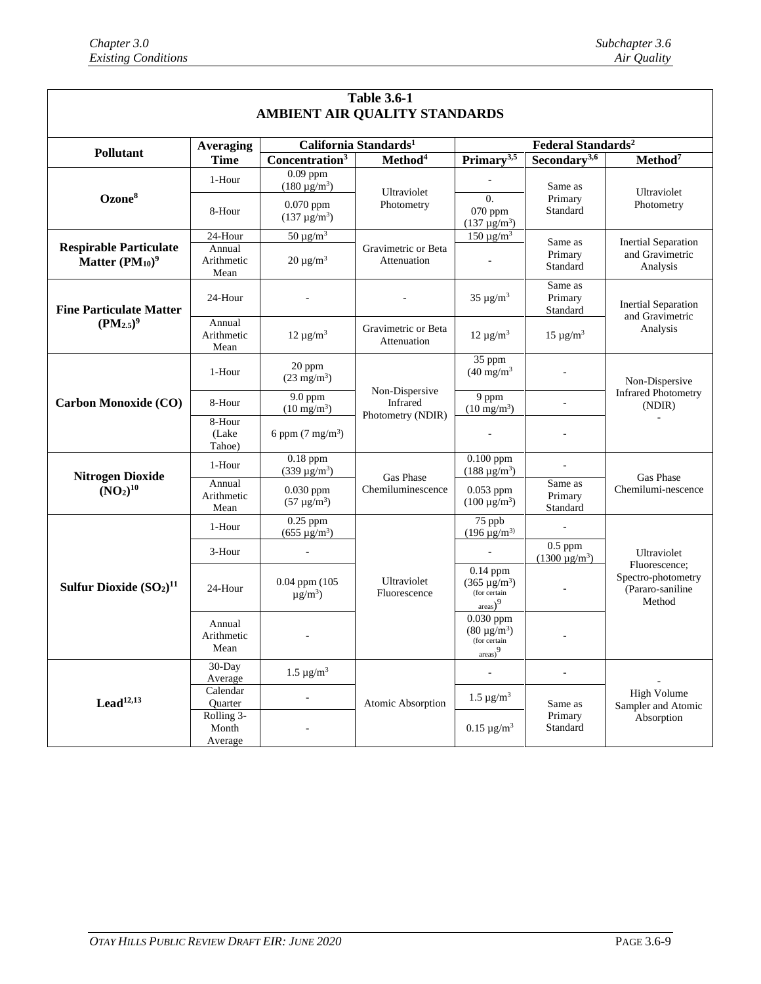| <b>Table 3.6-1</b>                                    |                                |                                               |                                                 |                                                                                       |                                 |                                                  |  |
|-------------------------------------------------------|--------------------------------|-----------------------------------------------|-------------------------------------------------|---------------------------------------------------------------------------------------|---------------------------------|--------------------------------------------------|--|
| AMBIENT AIR QUALITY STANDARDS                         |                                |                                               |                                                 |                                                                                       |                                 |                                                  |  |
| <b>Pollutant</b>                                      | <b>Averaging</b>               | California Standards <sup>1</sup>             |                                                 | Federal Standards <sup>2</sup>                                                        |                                 |                                                  |  |
|                                                       | <b>Time</b>                    | Concentration <sup>3</sup>                    | Method <sup>4</sup>                             | Primary <sup>3,5</sup>                                                                | Secondary <sup>3,6</sup>        | Method <sup>7</sup>                              |  |
| Ozone <sup>8</sup>                                    | 1-Hour                         | $0.09$ ppm<br>$(180 \,\mu g/m^3)$             | Ultraviolet<br>Photometry                       |                                                                                       | Same as<br>Primary<br>Standard  | Ultraviolet<br>Photometry                        |  |
|                                                       | 8-Hour                         | $0.070$ ppm<br>$(137 \,\mu g/m^3)$            |                                                 | $\Omega$ .<br>070 ppm<br>$(137 \,\mu g/m^3)$                                          |                                 |                                                  |  |
|                                                       | 24-Hour                        | $50 \mu g/m^3$                                |                                                 | $150 \mu g/m^3$                                                                       | Same as                         | <b>Inertial Separation</b>                       |  |
| <b>Respirable Particulate</b><br>Matter $(PM_{10})^9$ | Annual<br>Arithmetic<br>Mean   | $20 \mu g/m^3$                                | Gravimetric or Beta<br>Attenuation              |                                                                                       | Primary<br>Standard             | and Gravimetric<br>Analysis                      |  |
| <b>Fine Particulate Matter</b>                        | 24-Hour                        |                                               |                                                 | $35 \mu g/m^3$                                                                        | Same as<br>Primary<br>Standard  | <b>Inertial Separation</b><br>and Gravimetric    |  |
| $(PM_{2.5})^9$                                        | Annual<br>Arithmetic<br>Mean   | $12 \mu g/m^3$                                | Gravimetric or Beta<br>Attenuation              | $12 \mu g/m^3$                                                                        | $15 \mu g/m^3$                  | Analysis                                         |  |
| <b>Carbon Monoxide (CO)</b>                           | 1-Hour                         | 20 ppm<br>$(23 \text{ mg/m}^3)$               |                                                 | 35 ppm<br>$(40 \text{ mg/m}^3)$                                                       |                                 | Non-Dispersive                                   |  |
|                                                       | 8-Hour                         | 9.0 ppm<br>$(10 \text{ mg/m}^3)$              | Non-Dispersive<br>Infrared<br>Photometry (NDIR) | 9 ppm<br>$(10 \text{ mg/m}^3)$                                                        |                                 | <b>Infrared Photometry</b><br>(NDIR)             |  |
|                                                       | 8-Hour<br>(Lake)<br>Tahoe)     | 6 ppm $(7 \text{ mg/m}^3)$                    |                                                 |                                                                                       |                                 |                                                  |  |
| <b>Nitrogen Dioxide</b>                               | 1-Hour                         | $0.18$ ppm<br>$(339 \,\mu g/m^3)$             | Gas Phase                                       | $0.100$ ppm<br>$(188 \,\mu g/m^3)$                                                    |                                 | Gas Phase                                        |  |
| (NO <sub>2</sub> ) <sup>10</sup>                      | Annual<br>Arithmetic<br>Mean   | $0.030$ ppm<br>$(57 \,\mu g/m^3)$             | Chemiluminescence                               | $0.053$ ppm<br>$(100 \,\mu g/m^3)$                                                    | Same as<br>Primary<br>Standard  | Chemilumi-nescence                               |  |
|                                                       | 1-Hour                         | $0.25$ ppm<br>$(655 \,\mu g/m^3)$             |                                                 | 75 ppb<br>$(196 \,\mu g/m^3)$                                                         |                                 |                                                  |  |
|                                                       | 3-Hour                         | $\blacksquare$                                |                                                 |                                                                                       | $0.5$ ppm<br>$(1300 \mu g/m^3)$ | Ultraviolet<br>Fluorescence:                     |  |
| Sulfur Dioxide $(SO2)11$                              | 24-Hour                        | $0.04$ ppm $(105$<br>$\mu$ g/m <sup>3</sup> ) | Ultraviolet<br>Fluorescence                     | $0.14$ ppm<br>$(365 \,\mu g/m^3)$<br>(for certain<br>$_{\text{areas}}$ ) <sup>9</sup> |                                 | Spectro-photometry<br>(Pararo-saniline<br>Method |  |
|                                                       | Annual<br>Arithmetic<br>Mean   | $\sim$                                        |                                                 | $0.030$ ppm<br>$(80 \mu g/m^3)$<br>(for certain<br>$_{\text{areas}}$ <sup>9</sup>     |                                 |                                                  |  |
| Lead <sup>12,13</sup>                                 | 30-Day<br>Average              | $1.5 \,\mathrm{\mu g/m^3}$                    |                                                 |                                                                                       | ÷.                              |                                                  |  |
|                                                       | Calendar<br>Quarter            |                                               | Atomic Absorption                               | $1.5 \,\mu g/m^3$                                                                     | Same as                         | High Volume<br>Sampler and Atomic                |  |
|                                                       | Rolling 3-<br>Month<br>Average |                                               |                                                 | $0.15 \,\mu g/m^3$                                                                    | Primary<br>Standard             | Absorption                                       |  |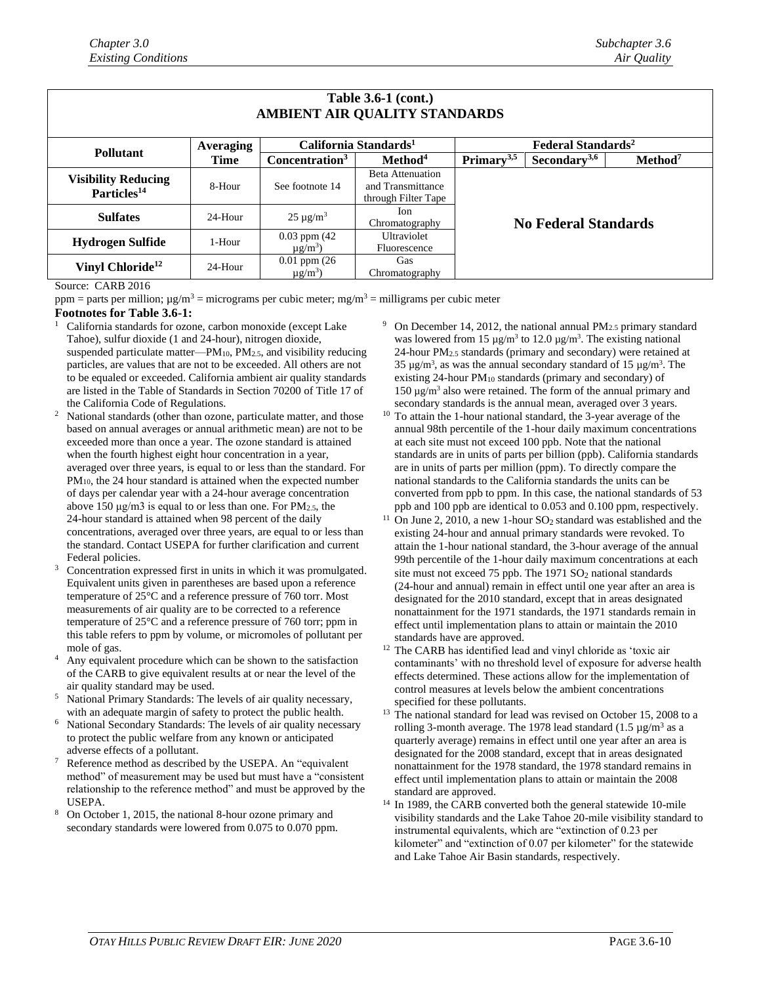| <b>Table 3.6-1 (cont.)</b><br>AMBIENT AIR QUALITY STANDARDS |                  |                                               |                                                                     |                                      |                          |                     |  |
|-------------------------------------------------------------|------------------|-----------------------------------------------|---------------------------------------------------------------------|--------------------------------------|--------------------------|---------------------|--|
|                                                             | <b>Averaging</b> |                                               | California Standards <sup>1</sup>                                   | <b>Federal Standards<sup>2</sup></b> |                          |                     |  |
| <b>Pollutant</b>                                            | Time             | Concentration <sup>3</sup>                    | Method <sup>4</sup>                                                 | Primary <sup>3,5</sup>               | Secondary <sup>3,6</sup> | Method <sup>7</sup> |  |
| <b>Visibility Reducing</b><br>Particles <sup>14</sup>       | 8-Hour           | See footnote 14                               | <b>Beta Attenuation</b><br>and Transmittance<br>through Filter Tape | <b>No Federal Standards</b>          |                          |                     |  |
| <b>Sulfates</b>                                             | 24-Hour          | $25 \mu g/m^3$                                | Ion.<br>Chromatography                                              |                                      |                          |                     |  |
| <b>Hydrogen Sulfide</b>                                     | 1-Hour           | $0.03$ ppm $(42)$<br>$\mu$ g/m <sup>3</sup> ) | Ultraviolet<br>Fluorescence                                         |                                      |                          |                     |  |
| Vinyl Chloride <sup>12</sup>                                | 24-Hour          | $0.01$ ppm $(26)$<br>$\mu$ g/m <sup>3</sup> ) | <b>Gas</b><br>Chromatography                                        |                                      |                          |                     |  |

#### Source: CARB 2016

ppm = parts per million;  $\mu g/m^3$  = micrograms per cubic meter; mg/m<sup>3</sup> = milligrams per cubic meter

### **Footnotes for Table 3.6-1:**

- California standards for ozone, carbon monoxide (except Lake Tahoe), sulfur dioxide (1 and 24-hour), nitrogen dioxide, suspended particulate matter—PM10, PM2.5, and visibility reducing particles, are values that are not to be exceeded. All others are not to be equaled or exceeded. California ambient air quality standards are listed in the Table of Standards in Section 70200 of Title 17 of the California Code of Regulations.
- National standards (other than ozone, particulate matter, and those based on annual averages or annual arithmetic mean) are not to be exceeded more than once a year. The ozone standard is attained when the fourth highest eight hour concentration in a year, averaged over three years, is equal to or less than the standard. For PM10, the 24 hour standard is attained when the expected number of days per calendar year with a 24-hour average concentration above 150 μg/m3 is equal to or less than one. For PM2.5, the 24-hour standard is attained when 98 percent of the daily concentrations, averaged over three years, are equal to or less than the standard. Contact USEPA for further clarification and current Federal policies.
- <sup>3</sup> Concentration expressed first in units in which it was promulgated. Equivalent units given in parentheses are based upon a reference temperature of 25°C and a reference pressure of 760 torr. Most measurements of air quality are to be corrected to a reference temperature of 25°C and a reference pressure of 760 torr; ppm in this table refers to ppm by volume, or micromoles of pollutant per mole of gas.
- Any equivalent procedure which can be shown to the satisfaction of the CARB to give equivalent results at or near the level of the air quality standard may be used.
- <sup>5</sup> National Primary Standards: The levels of air quality necessary, with an adequate margin of safety to protect the public health.
- National Secondary Standards: The levels of air quality necessary to protect the public welfare from any known or anticipated adverse effects of a pollutant.
- Reference method as described by the USEPA. An "equivalent method" of measurement may be used but must have a "consistent relationship to the reference method" and must be approved by the USEPA.
- <sup>8</sup> On October 1, 2015, the national 8-hour ozone primary and secondary standards were lowered from 0.075 to 0.070 ppm.
- On December 14, 2012, the national annual  $PM_{2.5}$  primary standard was lowered from 15  $\mu$ g/m<sup>3</sup> to 12.0  $\mu$ g/m<sup>3</sup>. The existing national  $24$ -hour PM<sub>2.5</sub> standards (primary and secondary) were retained at 35  $\mu$ g/m<sup>3</sup>, as was the annual secondary standard of 15  $\mu$ g/m<sup>3</sup>. The existing 24-hour PM<sup>10</sup> standards (primary and secondary) of  $150 \mu g/m<sup>3</sup>$  also were retained. The form of the annual primary and secondary standards is the annual mean, averaged over 3 years.
- <sup>10</sup> To attain the 1-hour national standard, the 3-year average of the annual 98th percentile of the 1-hour daily maximum concentrations at each site must not exceed 100 ppb. Note that the national standards are in units of parts per billion (ppb). California standards are in units of parts per million (ppm). To directly compare the national standards to the California standards the units can be converted from ppb to ppm. In this case, the national standards of 53 ppb and 100 ppb are identical to 0.053 and 0.100 ppm, respectively.
- On June 2, 2010, a new 1-hour  $SO<sub>2</sub>$  standard was established and the existing 24-hour and annual primary standards were revoked. To attain the 1-hour national standard, the 3-hour average of the annual 99th percentile of the 1-hour daily maximum concentrations at each site must not exceed 75 ppb. The  $1971$   $SO<sub>2</sub>$  national standards (24-hour and annual) remain in effect until one year after an area is designated for the 2010 standard, except that in areas designated nonattainment for the 1971 standards, the 1971 standards remain in effect until implementation plans to attain or maintain the 2010 standards have are approved.
- <sup>12</sup> The CARB has identified lead and vinyl chloride as 'toxic air contaminants' with no threshold level of exposure for adverse health effects determined. These actions allow for the implementation of control measures at levels below the ambient concentrations specified for these pollutants.
- $13$  The national standard for lead was revised on October 15, 2008 to a rolling 3-month average. The 1978 lead standard  $(1.5 \,\mu g/m^3 \text{ as a})$ quarterly average) remains in effect until one year after an area is designated for the 2008 standard, except that in areas designated nonattainment for the 1978 standard, the 1978 standard remains in effect until implementation plans to attain or maintain the 2008 standard are approved.
- <sup>14</sup> In 1989, the CARB converted both the general statewide 10-mile visibility standards and the Lake Tahoe 20-mile visibility standard to instrumental equivalents, which are "extinction of 0.23 per kilometer" and "extinction of 0.07 per kilometer" for the statewide and Lake Tahoe Air Basin standards, respectively.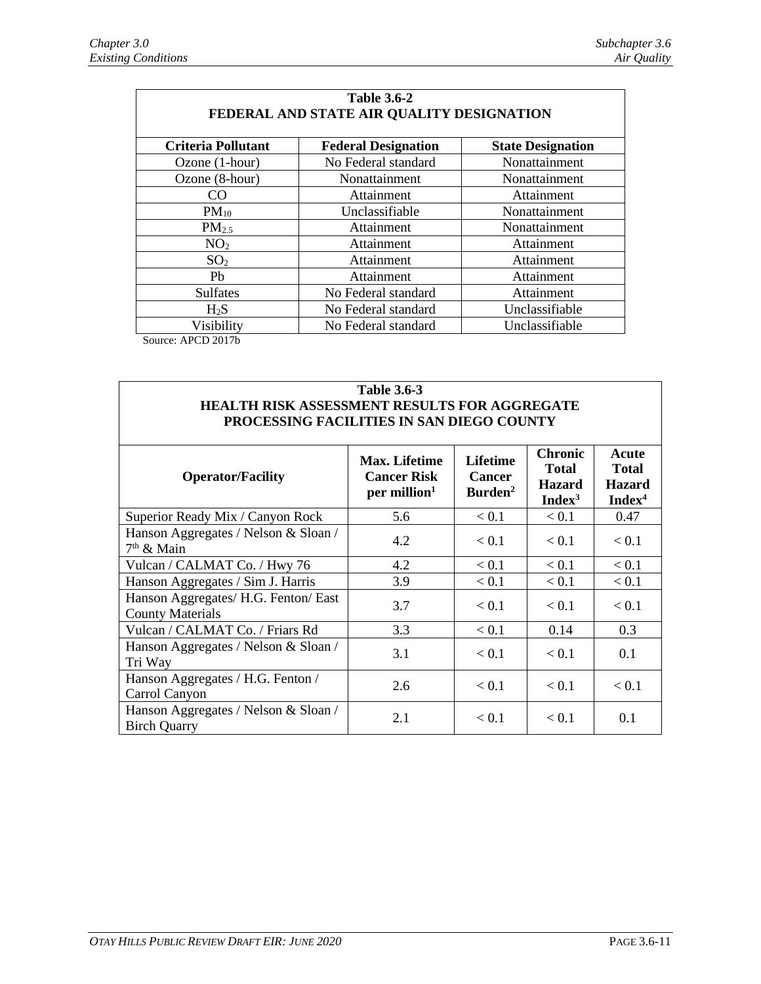| <b>Table 3.6-2</b><br>FEDERAL AND STATE AIR QUALITY DESIGNATION |                            |                          |  |  |  |  |
|-----------------------------------------------------------------|----------------------------|--------------------------|--|--|--|--|
| <b>Criteria Pollutant</b>                                       | <b>Federal Designation</b> | <b>State Designation</b> |  |  |  |  |
| Ozone (1-hour)                                                  | No Federal standard        | Nonattainment            |  |  |  |  |
| Ozone (8-hour)                                                  | Nonattainment              | Nonattainment            |  |  |  |  |
| CO                                                              | Attainment                 | Attainment               |  |  |  |  |
| $PM_{10}$                                                       | Unclassifiable             | Nonattainment            |  |  |  |  |
| PM <sub>2.5</sub>                                               | Attainment                 | Nonattainment            |  |  |  |  |
| NO <sub>2</sub>                                                 | Attainment                 | Attainment               |  |  |  |  |
| SO <sub>2</sub>                                                 | Attainment                 | Attainment               |  |  |  |  |
| Pb                                                              | Attainment                 | Attainment               |  |  |  |  |
| <b>Sulfates</b>                                                 | No Federal standard        | Attainment               |  |  |  |  |
| $H_2S$                                                          | No Federal standard        | Unclassifiable           |  |  |  |  |
| Visibility                                                      | No Federal standard        | Unclassifiable           |  |  |  |  |

Source: APCD 2017b

## **Table 3.6-3 HEALTH RISK ASSESSMENT RESULTS FOR AGGREGATE PROCESSING FACILITIES IN SAN DIEGO COUNTY**

| <b>Operator/Facility</b>                                        | <b>Max. Lifetime</b><br><b>Cancer Risk</b><br>per million <sup>1</sup> | <b>Lifetime</b><br><b>Cancer</b><br>Burden <sup>2</sup> | <b>Chronic</b><br><b>Total</b><br><b>Hazard</b><br>Index <sup>3</sup> | Acute<br><b>Total</b><br><b>Hazard</b><br>Index <sup>4</sup> |
|-----------------------------------------------------------------|------------------------------------------------------------------------|---------------------------------------------------------|-----------------------------------------------------------------------|--------------------------------------------------------------|
| Superior Ready Mix / Canyon Rock                                | 5.6                                                                    | < 0.1                                                   | < 0.1                                                                 | 0.47                                                         |
| Hanson Aggregates / Nelson & Sloan /<br>$7th$ & Main            | 4.2                                                                    | < 0.1                                                   | < 0.1                                                                 | < 0.1                                                        |
| Vulcan / CALMAT Co. / Hwy 76                                    | 4.2                                                                    | < 0.1                                                   | < 0.1                                                                 | < 0.1                                                        |
| Hanson Aggregates / Sim J. Harris                               | 3.9                                                                    | < 0.1                                                   | < 0.1                                                                 | < 0.1                                                        |
| Hanson Aggregates/ H.G. Fenton/ East<br><b>County Materials</b> | 3.7                                                                    | < 0.1                                                   | < 0.1                                                                 | < 0.1                                                        |
| Vulcan / CALMAT Co. / Friars Rd                                 | 3.3                                                                    | < 0.1                                                   | 0.14                                                                  | 0.3                                                          |
| Hanson Aggregates / Nelson & Sloan /<br>Tri Way                 | 3.1                                                                    | < 0.1                                                   | < 0.1                                                                 | 0.1                                                          |
| Hanson Aggregates / H.G. Fenton /<br>Carrol Canyon              | 2.6                                                                    | < 0.1                                                   | < 0.1                                                                 | < 0.1                                                        |
| Hanson Aggregates / Nelson & Sloan /<br><b>Birch Quarry</b>     | 2.1                                                                    | < 0.1                                                   | < 0.1                                                                 | 0.1                                                          |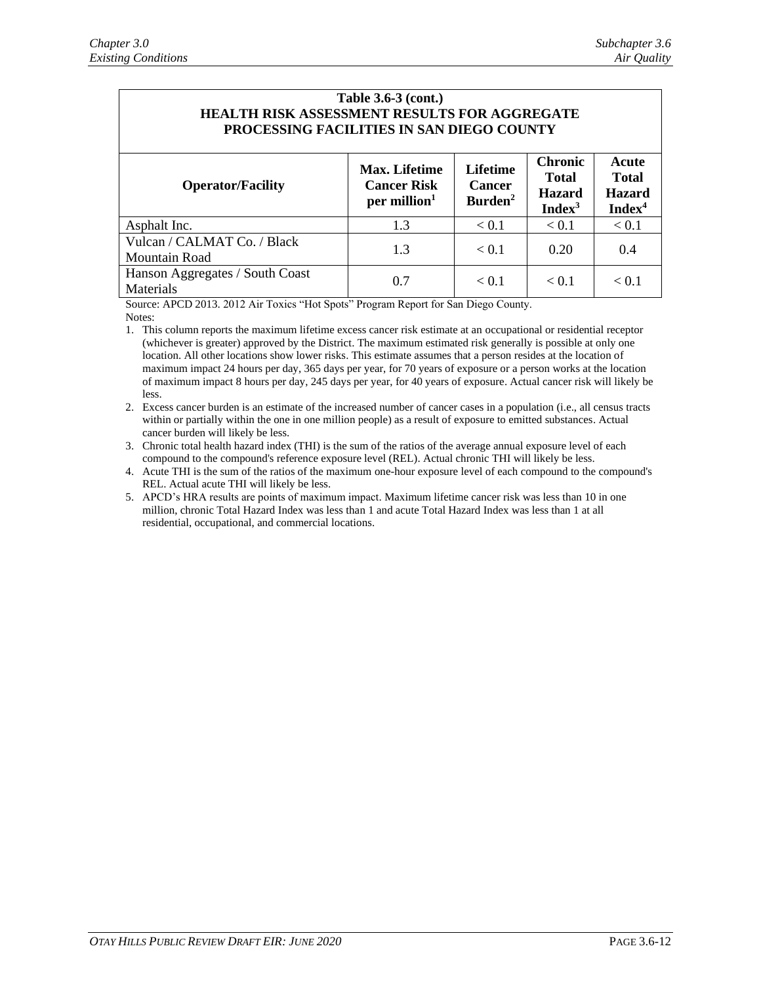| Table 3.6-3 (cont.)<br><b>HEALTH RISK ASSESSMENT RESULTS FOR AGGREGATE</b><br>PROCESSING FACILITIES IN SAN DIEGO COUNTY |                                                                        |                                                         |                                                                       |                                                              |  |  |  |
|-------------------------------------------------------------------------------------------------------------------------|------------------------------------------------------------------------|---------------------------------------------------------|-----------------------------------------------------------------------|--------------------------------------------------------------|--|--|--|
| <b>Operator/Facility</b>                                                                                                | <b>Max.</b> Lifetime<br><b>Cancer Risk</b><br>per million <sup>1</sup> | <b>Lifetime</b><br><b>Cancer</b><br>Burden <sup>2</sup> | <b>Chronic</b><br><b>Total</b><br><b>Hazard</b><br>Index <sup>3</sup> | Acute<br><b>Total</b><br><b>Hazard</b><br>Index <sup>4</sup> |  |  |  |
| Asphalt Inc.                                                                                                            | 1.3                                                                    | < 0.1                                                   | < 0.1                                                                 | < 0.1                                                        |  |  |  |
| Vulcan / CALMAT Co. / Black<br>Mountain Road                                                                            | 1.3                                                                    | < 0.1                                                   | 0.20                                                                  | 0.4                                                          |  |  |  |
| Hanson Aggregates / South Coast<br>Materials                                                                            | 0.7                                                                    | < 0.1                                                   | < 0.1                                                                 | < 0.1                                                        |  |  |  |

Source: APCD 2013. 2012 Air Toxics "Hot Spots" Program Report for San Diego County. Notes:

1. This column reports the maximum lifetime excess cancer risk estimate at an occupational or residential receptor (whichever is greater) approved by the District. The maximum estimated risk generally is possible at only one location. All other locations show lower risks. This estimate assumes that a person resides at the location of maximum impact 24 hours per day, 365 days per year, for 70 years of exposure or a person works at the location of maximum impact 8 hours per day, 245 days per year, for 40 years of exposure. Actual cancer risk will likely be less.

2. Excess cancer burden is an estimate of the increased number of cancer cases in a population (i.e., all census tracts within or partially within the one in one million people) as a result of exposure to emitted substances. Actual cancer burden will likely be less.

3. Chronic total health hazard index (THI) is the sum of the ratios of the average annual exposure level of each compound to the compound's reference exposure level (REL). Actual chronic THI will likely be less.

4. Acute THI is the sum of the ratios of the maximum one-hour exposure level of each compound to the compound's REL. Actual acute THI will likely be less.

5. APCD's HRA results are points of maximum impact. Maximum lifetime cancer risk was less than 10 in one million, chronic Total Hazard Index was less than 1 and acute Total Hazard Index was less than 1 at all residential, occupational, and commercial locations.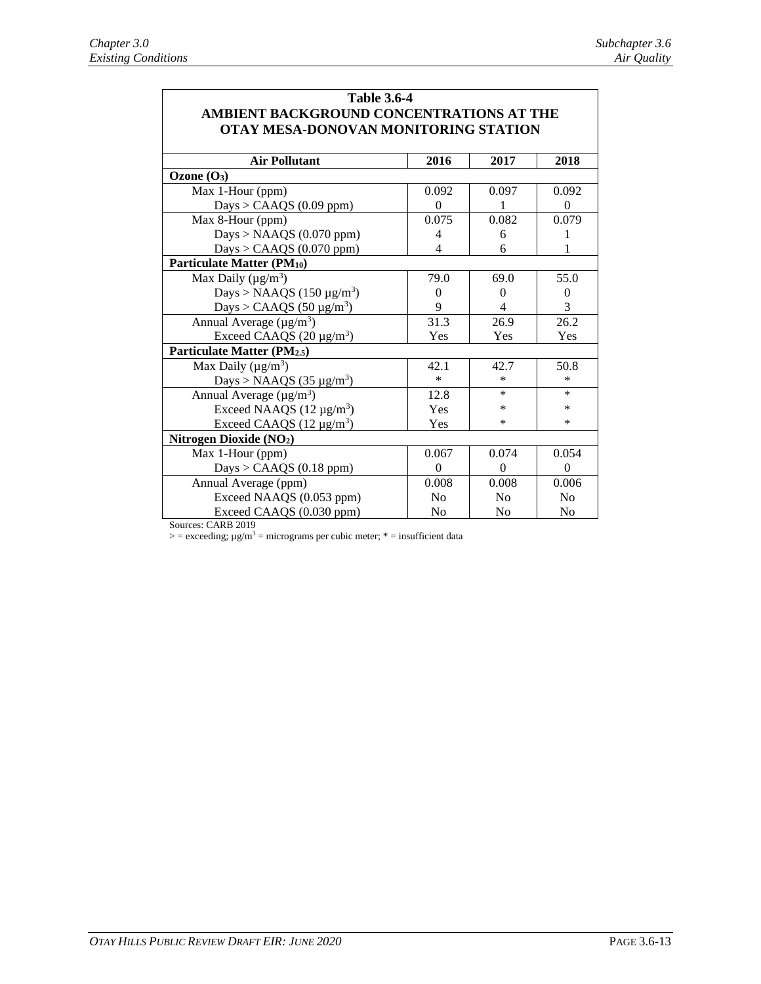| <b>Table 3.6-4</b>                                                               |                          |                          |                |  |  |  |  |  |
|----------------------------------------------------------------------------------|--------------------------|--------------------------|----------------|--|--|--|--|--|
| AMBIENT BACKGROUND CONCENTRATIONS AT THE<br>OTAY MESA-DONOVAN MONITORING STATION |                          |                          |                |  |  |  |  |  |
|                                                                                  |                          |                          |                |  |  |  |  |  |
| <b>Air Pollutant</b><br>2016<br>2017<br>2018                                     |                          |                          |                |  |  |  |  |  |
| Ozone $(O_3)$                                                                    |                          |                          |                |  |  |  |  |  |
| Max 1-Hour (ppm)                                                                 | 0.092                    | 0.097                    | 0.092          |  |  |  |  |  |
| Days > CAAQS $(0.09$ ppm)                                                        | $\Omega$                 | 1                        | $\Omega$       |  |  |  |  |  |
| Max 8-Hour (ppm)                                                                 | 0.075                    | 0.082                    | 0.079          |  |  |  |  |  |
| Days > NAAQS (0.070 ppm)                                                         | 4                        | 6                        | 1              |  |  |  |  |  |
| Days > CAAQS $(0.070$ ppm)                                                       | $\overline{\mathcal{A}}$ | 6                        | 1              |  |  |  |  |  |
| Particulate Matter (PM10)                                                        |                          |                          |                |  |  |  |  |  |
| Max Daily ( $\mu$ g/m <sup>3</sup> )                                             | 79.0                     | 69.0                     | 55.0           |  |  |  |  |  |
| Days > NAAQS (150 $\mu$ g/m <sup>3</sup> )                                       | $\theta$                 | $\theta$                 | $\mathbf{0}$   |  |  |  |  |  |
| Days > CAAQS $(50 \,\mu g/m^3)$                                                  | 9                        | $\overline{\mathcal{L}}$ | 3              |  |  |  |  |  |
| Annual Average ( $\mu$ g/m <sup>3</sup> )                                        | 31.3                     | 26.9                     | 26.2           |  |  |  |  |  |
| Exceed CAAQS $(20 \mu g/m^3)$                                                    | Yes                      | Yes                      | Yes            |  |  |  |  |  |
| Particulate Matter (PM2.5)                                                       |                          |                          |                |  |  |  |  |  |
| Max Daily ( $\mu$ g/m <sup>3</sup> )                                             | 42.1                     | 42.7                     | 50.8           |  |  |  |  |  |
| Days > NAAQS (35 $\mu$ g/m <sup>3</sup> )                                        | $\ast$                   | $\ast$                   | $\ast$         |  |  |  |  |  |
| Annual Average $(\mu g/m^3)$                                                     | 12.8                     | *                        | $\ast$         |  |  |  |  |  |
| Exceed NAAQS $(12 \mu g/m^3)$                                                    | Yes                      | *                        | $\ast$         |  |  |  |  |  |
| Exceed CAAQS $(12 \mu g/m^3)$                                                    | Yes                      | *                        | $\ast$         |  |  |  |  |  |
| Nitrogen Dioxide (NO <sub>2</sub> )                                              |                          |                          |                |  |  |  |  |  |
| Max 1-Hour (ppm)                                                                 | 0.067                    | 0.074                    | 0.054          |  |  |  |  |  |
| Days > CAAQS $(0.18$ ppm)                                                        | $\theta$                 | $\theta$                 | $\Omega$       |  |  |  |  |  |
| Annual Average (ppm)                                                             | 0.008                    | 0.008                    | 0.006          |  |  |  |  |  |
| Exceed NAAQS (0.053 ppm)                                                         | N <sub>0</sub>           | No                       | N <sub>0</sub> |  |  |  |  |  |
| Exceed CAAQS (0.030 ppm)                                                         | N <sub>o</sub>           | N <sub>0</sub>           | No             |  |  |  |  |  |

Sources: CARB 2019

 $\ge$  = exceeding;  $\mu$ g/m<sup>3</sup> = micrograms per cubic meter;  $*$  = insufficient data